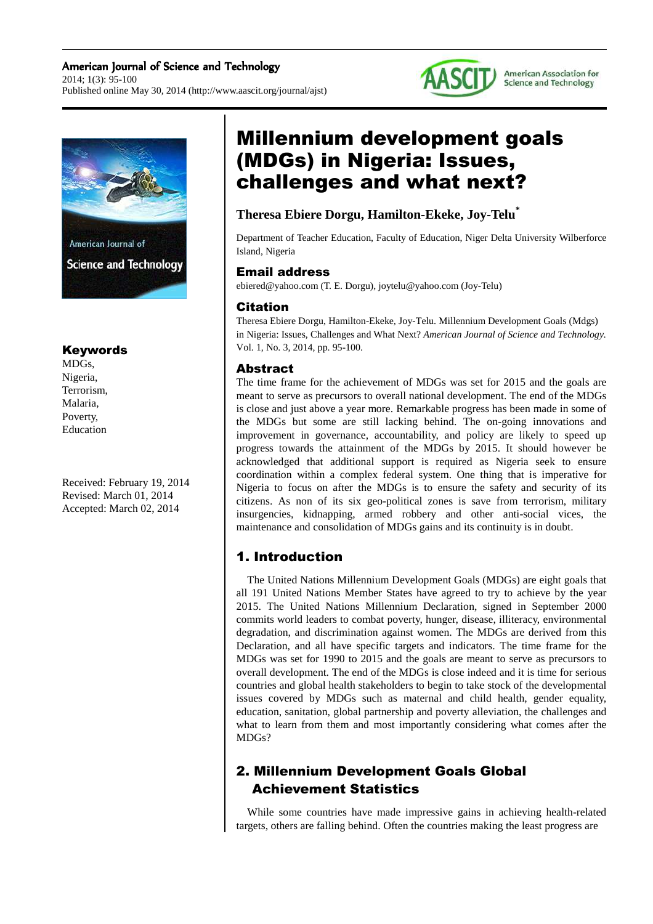

### Keywords

MDGs, Nigeria, Terrorism, Malaria, Poverty, Education

Received: February 19, 2014 Revised: March 01, 2014 Accepted: March 02, 2014

# Millennium development goals (MDGs) in Nigeria: Issues, challenges and what next?

# **Theresa Ebiere Dorgu, Hamilton-Ekeke, Joy-Telu\***

Department of Teacher Education, Faculty of Education, Niger Delta University Wilberforce Island, Nigeria

**AASC** 

American Association for **Science and Technology** 

### Email address

ebiered@yahoo.com (T. E. Dorgu), joytelu@yahoo.com (Joy-Telu)

#### Citation

Theresa Ebiere Dorgu, Hamilton-Ekeke, Joy-Telu. Millennium Development Goals (Mdgs) in Nigeria: Issues, Challenges and What Next? *American Journal of Science and Technology.* Vol. 1, No. 3, 2014, pp. 95-100.

### Abstract

The time frame for the achievement of MDGs was set for 2015 and the goals are meant to serve as precursors to overall national development. The end of the MDGs is close and just above a year more. Remarkable progress has been made in some of the MDGs but some are still lacking behind. The on-going innovations and improvement in governance, accountability, and policy are likely to speed up progress towards the attainment of the MDGs by 2015. It should however be acknowledged that additional support is required as Nigeria seek to ensure coordination within a complex federal system. One thing that is imperative for Nigeria to focus on after the MDGs is to ensure the safety and security of its citizens. As non of its six geo-political zones is save from terrorism, military insurgencies, kidnapping, armed robbery and other anti-social vices, the maintenance and consolidation of MDGs gains and its continuity is in doubt.

### 1. Introduction

The United Nations Millennium Development Goals (MDGs) are eight goals that all 191 United Nations Member States have agreed to try to achieve by the year 2015. The United Nations Millennium Declaration, signed in September 2000 commits world leaders to combat poverty, hunger, disease, illiteracy, environmental degradation, and discrimination against women. The MDGs are derived from this Declaration, and all have specific targets and indicators. The time frame for the MDGs was set for 1990 to 2015 and the goals are meant to serve as precursors to overall development. The end of the MDGs is close indeed and it is time for serious countries and global health stakeholders to begin to take stock of the developmental issues covered by MDGs such as maternal and child health, gender equality, education, sanitation, global partnership and poverty alleviation, the challenges and what to learn from them and most importantly considering what comes after the MDGs?

# 2. Millennium Development Goals Global Achievement Statistics

While some countries have made impressive gains in achieving health-related targets, others are falling behind. Often the countries making the least progress are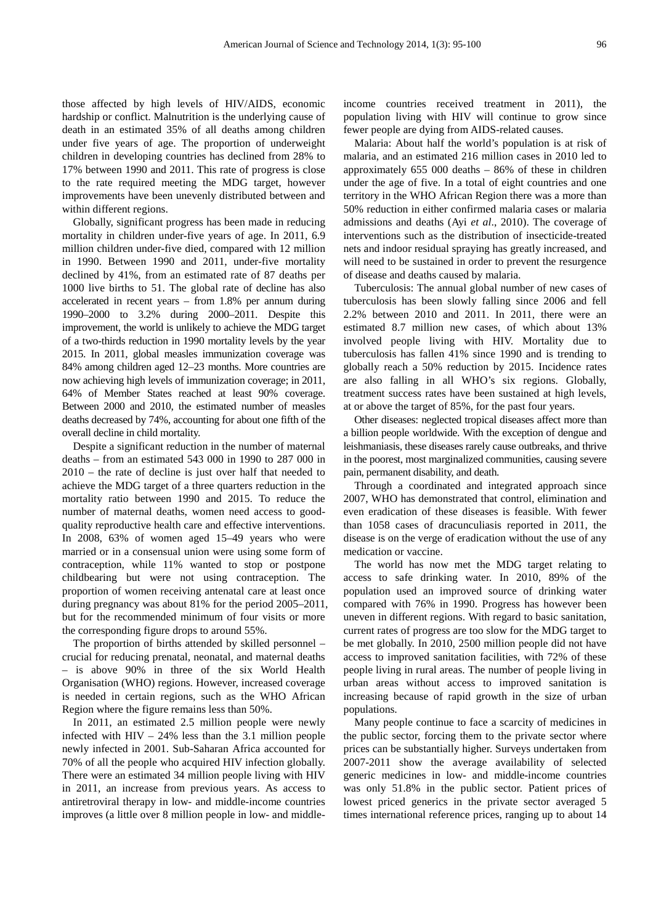those affected by high levels of HIV/AIDS, economic hardship or conflict. Malnutrition is the underlying cause of death in an estimated 35% of all deaths among children under five years of age. The proportion of underweight children in developing countries has declined from 28% to 17% between 1990 and 2011. This rate of progress is close to the rate required meeting the MDG target, however improvements have been unevenly distributed between and within different regions.

Globally, significant progress has been made in reducing mortality in children under-five years of age. In 2011, 6.9 million children under-five died, compared with 12 million in 1990. Between 1990 and 2011, under-five mortality declined by 41%, from an estimated rate of 87 deaths per 1000 live births to 51. The global rate of decline has also accelerated in recent years – from 1.8% per annum during 1990–2000 to 3.2% during 2000–2011. Despite this improvement, the world is unlikely to achieve the MDG target of a two-thirds reduction in 1990 mortality levels by the year 2015. In 2011, global measles immunization coverage was 84% among children aged 12–23 months. More countries are now achieving high levels of immunization coverage; in 2011, 64% of Member States reached at least 90% coverage. Between 2000 and 2010, the estimated number of measles deaths decreased by 74%, accounting for about one fifth of the overall decline in child mortality.

Despite a significant reduction in the number of maternal deaths – from an estimated 543 000 in 1990 to 287 000 in 2010 – the rate of decline is just over half that needed to achieve the MDG target of a three quarters reduction in the mortality ratio between 1990 and 2015. To reduce the number of maternal deaths, women need access to goodquality reproductive health care and effective interventions. In 2008, 63% of women aged 15–49 years who were married or in a consensual union were using some form of contraception, while 11% wanted to stop or postpone childbearing but were not using contraception. The proportion of women receiving antenatal care at least once during pregnancy was about 81% for the period 2005–2011, but for the recommended minimum of four visits or more the corresponding figure drops to around 55%.

The proportion of births attended by skilled personnel – crucial for reducing prenatal, neonatal, and maternal deaths – is above 90% in three of the six World Health Organisation (WHO) regions. However, increased coverage is needed in certain regions, such as the WHO African Region where the figure remains less than 50%.

In 2011, an estimated 2.5 million people were newly infected with HIV – 24% less than the 3.1 million people newly infected in 2001. Sub-Saharan Africa accounted for 70% of all the people who acquired HIV infection globally. There were an estimated 34 million people living with HIV in 2011, an increase from previous years. As access to antiretroviral therapy in low- and middle-income countries improves (a little over 8 million people in low- and middle-

income countries received treatment in 2011), the population living with HIV will continue to grow since fewer people are dying from AIDS-related causes.

Malaria: About half the world's population is at risk of malaria, and an estimated 216 million cases in 2010 led to approximately 655 000 deaths – 86% of these in children under the age of five. In a total of eight countries and one territory in the WHO African Region there was a more than 50% reduction in either confirmed malaria cases or malaria admissions and deaths (Ayi *et al*., 2010). The coverage of interventions such as the distribution of insecticide-treated nets and indoor residual spraying has greatly increased, and will need to be sustained in order to prevent the resurgence of disease and deaths caused by malaria.

Tuberculosis: The annual global number of new cases of tuberculosis has been slowly falling since 2006 and fell 2.2% between 2010 and 2011. In 2011, there were an estimated 8.7 million new cases, of which about 13% involved people living with HIV. Mortality due to tuberculosis has fallen 41% since 1990 and is trending to globally reach a 50% reduction by 2015. Incidence rates are also falling in all WHO's six regions. Globally, treatment success rates have been sustained at high levels, at or above the target of 85%, for the past four years.

Other diseases: neglected tropical diseases affect more than a billion people worldwide. With the exception of dengue and leishmaniasis, these diseases rarely cause outbreaks, and thrive in the poorest, most marginalized communities, causing severe pain, permanent disability, and death.

Through a coordinated and integrated approach since 2007, WHO has demonstrated that control, elimination and even eradication of these diseases is feasible. With fewer than 1058 cases of dracunculiasis reported in 2011, the disease is on the verge of eradication without the use of any medication or vaccine.

The world has now met the MDG target relating to access to safe drinking water. In 2010, 89% of the population used an improved source of drinking water compared with 76% in 1990. Progress has however been uneven in different regions. With regard to basic sanitation, current rates of progress are too slow for the MDG target to be met globally. In 2010, 2500 million people did not have access to improved sanitation facilities, with 72% of these people living in rural areas. The number of people living in urban areas without access to improved sanitation is increasing because of rapid growth in the size of urban populations.

Many people continue to face a scarcity of medicines in the public sector, forcing them to the private sector where prices can be substantially higher. Surveys undertaken from 2007-2011 show the average availability of selected generic medicines in low- and middle-income countries was only 51.8% in the public sector. Patient prices of lowest priced generics in the private sector averaged 5 times international reference prices, ranging up to about 14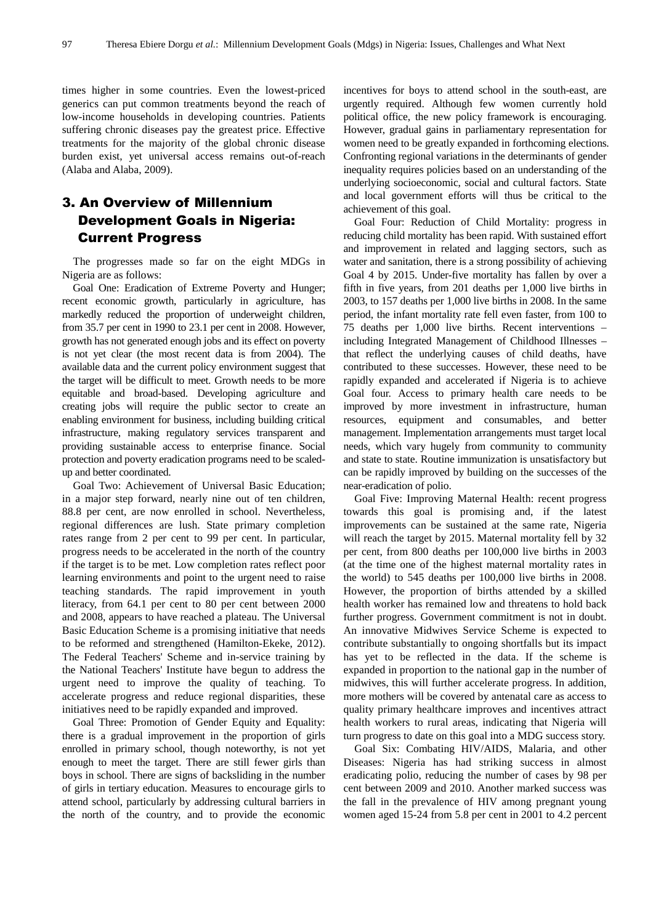times higher in some countries. Even the lowest-priced generics can put common treatments beyond the reach of low-income households in developing countries. Patients suffering chronic diseases pay the greatest price. Effective treatments for the majority of the global chronic disease burden exist, yet universal access remains out-of-reach (Alaba and Alaba, 2009).

## 3. An Overview of Millennium Development Goals in Nigeria: Current Progress

The progresses made so far on the eight MDGs in Nigeria are as follows:

Goal One: Eradication of Extreme Poverty and Hunger; recent economic growth, particularly in agriculture, has markedly reduced the proportion of underweight children, from 35.7 per cent in 1990 to 23.1 per cent in 2008. However, growth has not generated enough jobs and its effect on poverty is not yet clear (the most recent data is from 2004). The available data and the current policy environment suggest that the target will be difficult to meet. Growth needs to be more equitable and broad-based. Developing agriculture and creating jobs will require the public sector to create an enabling environment for business, including building critical infrastructure, making regulatory services transparent and providing sustainable access to enterprise finance. Social protection and poverty eradication programs need to be scaledup and better coordinated.

Goal Two: Achievement of Universal Basic Education; in a major step forward, nearly nine out of ten children, 88.8 per cent, are now enrolled in school. Nevertheless, regional differences are lush. State primary completion rates range from 2 per cent to 99 per cent. In particular, progress needs to be accelerated in the north of the country if the target is to be met. Low completion rates reflect poor learning environments and point to the urgent need to raise teaching standards. The rapid improvement in youth literacy, from 64.1 per cent to 80 per cent between 2000 and 2008, appears to have reached a plateau. The Universal Basic Education Scheme is a promising initiative that needs to be reformed and strengthened (Hamilton-Ekeke, 2012). The Federal Teachers' Scheme and in-service training by the National Teachers' Institute have begun to address the urgent need to improve the quality of teaching. To accelerate progress and reduce regional disparities, these initiatives need to be rapidly expanded and improved.

Goal Three: Promotion of Gender Equity and Equality: there is a gradual improvement in the proportion of girls enrolled in primary school, though noteworthy, is not yet enough to meet the target. There are still fewer girls than boys in school. There are signs of backsliding in the number of girls in tertiary education. Measures to encourage girls to attend school, particularly by addressing cultural barriers in the north of the country, and to provide the economic

incentives for boys to attend school in the south-east, are urgently required. Although few women currently hold political office, the new policy framework is encouraging. However, gradual gains in parliamentary representation for women need to be greatly expanded in forthcoming elections. Confronting regional variations in the determinants of gender inequality requires policies based on an understanding of the underlying socioeconomic, social and cultural factors. State and local government efforts will thus be critical to the achievement of this goal.

Goal Four: Reduction of Child Mortality: progress in reducing child mortality has been rapid. With sustained effort and improvement in related and lagging sectors, such as water and sanitation, there is a strong possibility of achieving Goal 4 by 2015. Under-five mortality has fallen by over a fifth in five years, from 201 deaths per 1,000 live births in 2003, to 157 deaths per 1,000 live births in 2008. In the same period, the infant mortality rate fell even faster, from 100 to 75 deaths per 1,000 live births. Recent interventions – including Integrated Management of Childhood Illnesses – that reflect the underlying causes of child deaths, have contributed to these successes. However, these need to be rapidly expanded and accelerated if Nigeria is to achieve Goal four. Access to primary health care needs to be improved by more investment in infrastructure, human resources, equipment and consumables, and better management. Implementation arrangements must target local needs, which vary hugely from community to community and state to state. Routine immunization is unsatisfactory but can be rapidly improved by building on the successes of the near-eradication of polio.

Goal Five: Improving Maternal Health: recent progress towards this goal is promising and, if the latest improvements can be sustained at the same rate, Nigeria will reach the target by 2015. Maternal mortality fell by 32 per cent, from 800 deaths per 100,000 live births in 2003 (at the time one of the highest maternal mortality rates in the world) to 545 deaths per 100,000 live births in 2008. However, the proportion of births attended by a skilled health worker has remained low and threatens to hold back further progress. Government commitment is not in doubt. An innovative Midwives Service Scheme is expected to contribute substantially to ongoing shortfalls but its impact has yet to be reflected in the data. If the scheme is expanded in proportion to the national gap in the number of midwives, this will further accelerate progress. In addition, more mothers will be covered by antenatal care as access to quality primary healthcare improves and incentives attract health workers to rural areas, indicating that Nigeria will turn progress to date on this goal into a MDG success story.

Goal Six: Combating HIV/AIDS, Malaria, and other Diseases: Nigeria has had striking success in almost eradicating polio, reducing the number of cases by 98 per cent between 2009 and 2010. Another marked success was the fall in the prevalence of HIV among pregnant young women aged 15-24 from 5.8 per cent in 2001 to 4.2 percent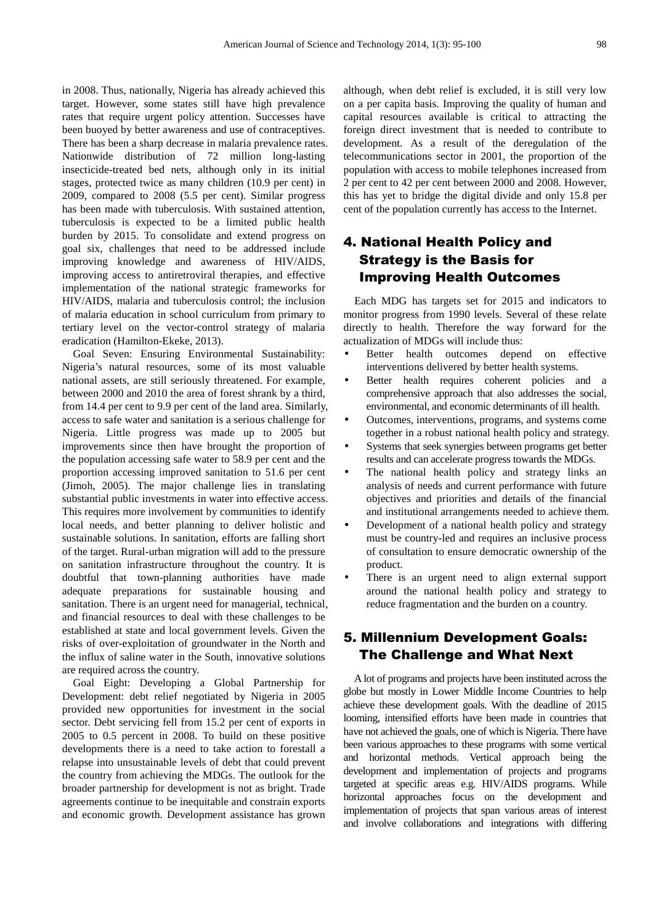in 2008. Thus, nationally, Nigeria has already achieved this target. However, some states still have high prevalence rates that require urgent policy attention. Successes have been buoyed by better awareness and use of contraceptives. There has been a sharp decrease in malaria prevalence rates. Nationwide distribution of 72 million long-lasting insecticide-treated bed nets, although only in its initial stages, protected twice as many children (10.9 per cent) in 2009, compared to 2008 (5.5 per cent). Similar progress has been made with tuberculosis. With sustained attention, tuberculosis is expected to be a limited public health burden by 2015. To consolidate and extend progress on goal six, challenges that need to be addressed include improving knowledge and awareness of HIV/AIDS, improving access to antiretroviral therapies, and effective implementation of the national strategic frameworks for HIV/AIDS, malaria and tuberculosis control; the inclusion of malaria education in school curriculum from primary to tertiary level on the vector-control strategy of malaria eradication (Hamilton-Ekeke, 2013).

Goal Seven: Ensuring Environmental Sustainability: Nigeria's natural resources, some of its most valuable national assets, are still seriously threatened. For example, between 2000 and 2010 the area of forest shrank by a third, from 14.4 per cent to 9.9 per cent of the land area. Similarly, access to safe water and sanitation is a serious challenge for Nigeria. Little progress was made up to 2005 but improvements since then have brought the proportion of the population accessing safe water to 58.9 per cent and the proportion accessing improved sanitation to 51.6 per cent (Jimoh, 2005). The major challenge lies in translating substantial public investments in water into effective access. This requires more involvement by communities to identify local needs, and better planning to deliver holistic and sustainable solutions. In sanitation, efforts are falling short of the target. Rural-urban migration will add to the pressure on sanitation infrastructure throughout the country. It is doubtful that town-planning authorities have made adequate preparations for sustainable housing and sanitation. There is an urgent need for managerial, technical, and financial resources to deal with these challenges to be established at state and local government levels. Given the risks of over-exploitation of groundwater in the North and the influx of saline water in the South, innovative solutions are required across the country.

Goal Eight: Developing a Global Partnership for Development: debt relief negotiated by Nigeria in 2005 provided new opportunities for investment in the social sector. Debt servicing fell from 15.2 per cent of exports in 2005 to 0.5 percent in 2008. To build on these positive developments there is a need to take action to forestall a relapse into unsustainable levels of debt that could prevent the country from achieving the MDGs. The outlook for the broader partnership for development is not as bright. Trade agreements continue to be inequitable and constrain exports and economic growth. Development assistance has grown although, when debt relief is excluded, it is still very low on a per capita basis. Improving the quality of human and capital resources available is critical to attracting the foreign direct investment that is needed to contribute to development. As a result of the deregulation of the telecommunications sector in 2001, the proportion of the population with access to mobile telephones increased from 2 per cent to 42 per cent between 2000 and 2008. However, this has yet to bridge the digital divide and only 15.8 per cent of the population currently has access to the Internet.

## 4. National Health Policy and Strategy is the Basis for Improving Health Outcomes

Each MDG has targets set for 2015 and indicators to monitor progress from 1990 levels. Several of these relate directly to health. Therefore the way forward for the actualization of MDGs will include thus:

- Better health outcomes depend on effective interventions delivered by better health systems.
- Better health requires coherent policies and a comprehensive approach that also addresses the social, environmental, and economic determinants of ill health.
- Outcomes, interventions, programs, and systems come together in a robust national health policy and strategy.
- Systems that seek synergies between programs get better results and can accelerate progress towards the MDGs.
- The national health policy and strategy links an analysis of needs and current performance with future objectives and priorities and details of the financial and institutional arrangements needed to achieve them.
- Development of a national health policy and strategy must be country-led and requires an inclusive process of consultation to ensure democratic ownership of the product.
- There is an urgent need to align external support around the national health policy and strategy to reduce fragmentation and the burden on a country.

### 5. Millennium Development Goals: The Challenge and What Next

A lot of programs and projects have been instituted across the globe but mostly in Lower Middle Income Countries to help achieve these development goals. With the deadline of 2015 looming, intensified efforts have been made in countries that have not achieved the goals, one of which is Nigeria. There have been various approaches to these programs with some vertical and horizontal methods. Vertical approach being the development and implementation of projects and programs targeted at specific areas e.g. HIV/AIDS programs. While horizontal approaches focus on the development and implementation of projects that span various areas of interest and involve collaborations and integrations with differing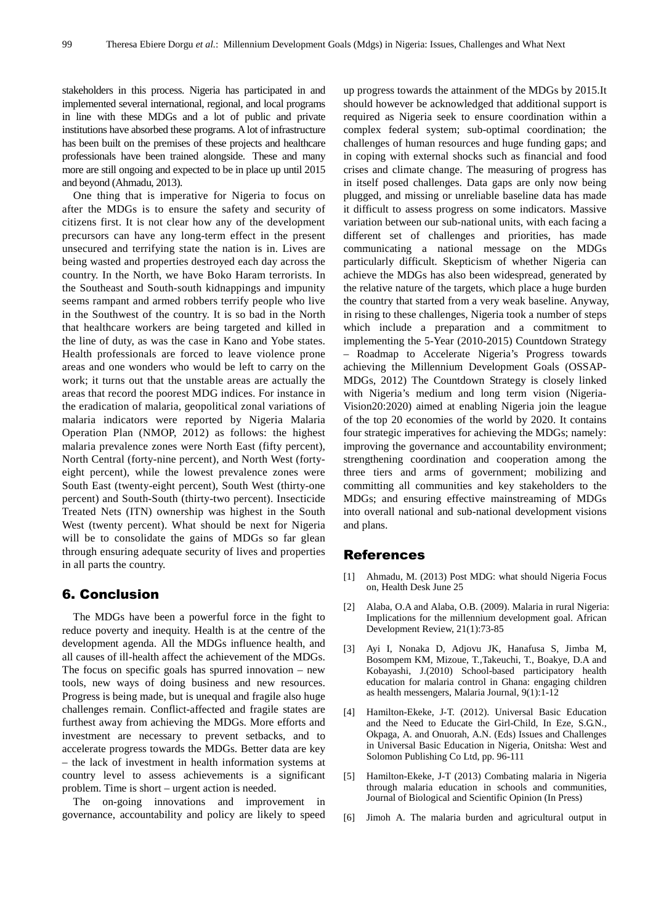stakeholders in this process. Nigeria has participated in and implemented several international, regional, and local programs in line with these MDGs and a lot of public and private institutions have absorbed these programs. A lot of infrastructure has been built on the premises of these projects and healthcare professionals have been trained alongside. These and many more are still ongoing and expected to be in place up until 2015 and beyond (Ahmadu, 2013).

One thing that is imperative for Nigeria to focus on after the MDGs is to ensure the safety and security of citizens first. It is not clear how any of the development precursors can have any long-term effect in the present unsecured and terrifying state the nation is in. Lives are being wasted and properties destroyed each day across the country. In the North, we have Boko Haram terrorists. In the Southeast and South-south kidnappings and impunity seems rampant and armed robbers terrify people who live in the Southwest of the country. It is so bad in the North that healthcare workers are being targeted and killed in the line of duty, as was the case in Kano and Yobe states. Health professionals are forced to leave violence prone areas and one wonders who would be left to carry on the work; it turns out that the unstable areas are actually the areas that record the poorest MDG indices. For instance in the eradication of malaria, geopolitical zonal variations of malaria indicators were reported by Nigeria Malaria Operation Plan (NMOP, 2012) as follows: the highest malaria prevalence zones were North East (fifty percent), North Central (forty-nine percent), and North West (fortyeight percent), while the lowest prevalence zones were South East (twenty-eight percent), South West (thirty-one percent) and South-South (thirty-two percent). Insecticide Treated Nets (ITN) ownership was highest in the South West (twenty percent). What should be next for Nigeria will be to consolidate the gains of MDGs so far glean through ensuring adequate security of lives and properties in all parts the country.

#### 6. Conclusion

The MDGs have been a powerful force in the fight to reduce poverty and inequity. Health is at the centre of the development agenda. All the MDGs influence health, and all causes of ill-health affect the achievement of the MDGs. The focus on specific goals has spurred innovation – new tools, new ways of doing business and new resources. Progress is being made, but is unequal and fragile also huge challenges remain. Conflict-affected and fragile states are furthest away from achieving the MDGs. More efforts and investment are necessary to prevent setbacks, and to accelerate progress towards the MDGs. Better data are key – the lack of investment in health information systems at country level to assess achievements is a significant problem. Time is short – urgent action is needed.

The on-going innovations and improvement in governance, accountability and policy are likely to speed

up progress towards the attainment of the MDGs by 2015.It should however be acknowledged that additional support is required as Nigeria seek to ensure coordination within a complex federal system; sub-optimal coordination; the challenges of human resources and huge funding gaps; and in coping with external shocks such as financial and food crises and climate change. The measuring of progress has in itself posed challenges. Data gaps are only now being plugged, and missing or unreliable baseline data has made it difficult to assess progress on some indicators. Massive variation between our sub-national units, with each facing a different set of challenges and priorities, has made communicating a national message on the MDGs particularly difficult. Skepticism of whether Nigeria can achieve the MDGs has also been widespread, generated by the relative nature of the targets, which place a huge burden the country that started from a very weak baseline. Anyway, in rising to these challenges, Nigeria took a number of steps which include a preparation and a commitment to implementing the 5-Year (2010-2015) Countdown Strategy – Roadmap to Accelerate Nigeria's Progress towards achieving the Millennium Development Goals (OSSAP-MDGs, 2012) The Countdown Strategy is closely linked with Nigeria's medium and long term vision (Nigeria-Vision20:2020) aimed at enabling Nigeria join the league of the top 20 economies of the world by 2020. It contains four strategic imperatives for achieving the MDGs; namely: improving the governance and accountability environment; strengthening coordination and cooperation among the three tiers and arms of government; mobilizing and committing all communities and key stakeholders to the MDGs; and ensuring effective mainstreaming of MDGs into overall national and sub-national development visions and plans.

#### References

- [1] Ahmadu, M. (2013) Post MDG: what should Nigeria Focus on, Health Desk June 25
- [2] Alaba, O.A and Alaba, O.B. (2009). Malaria in rural Nigeria: Implications for the millennium development goal. African Development Review, 21(1):73-85
- [3] Ayi I, Nonaka D, Adjovu JK, Hanafusa S, Jimba M, Bosompem KM, Mizoue, T.,Takeuchi, T., Boakye, D.A and Kobayashi, J.(2010) School-based participatory health education for malaria control in Ghana: engaging children as health messengers, Malaria Journal, 9(1):1-12
- [4] Hamilton-Ekeke, J-T. (2012). Universal Basic Education and the Need to Educate the Girl-Child, In Eze, S.G.N., Okpaga, A. and Onuorah, A.N. (Eds) Issues and Challenges in Universal Basic Education in Nigeria, Onitsha: West and Solomon Publishing Co Ltd, pp. 96-111
- [5] Hamilton-Ekeke, J-T (2013) Combating malaria in Nigeria through malaria education in schools and communities, Journal of Biological and Scientific Opinion (In Press)
- [6] Jimoh A. The malaria burden and agricultural output in